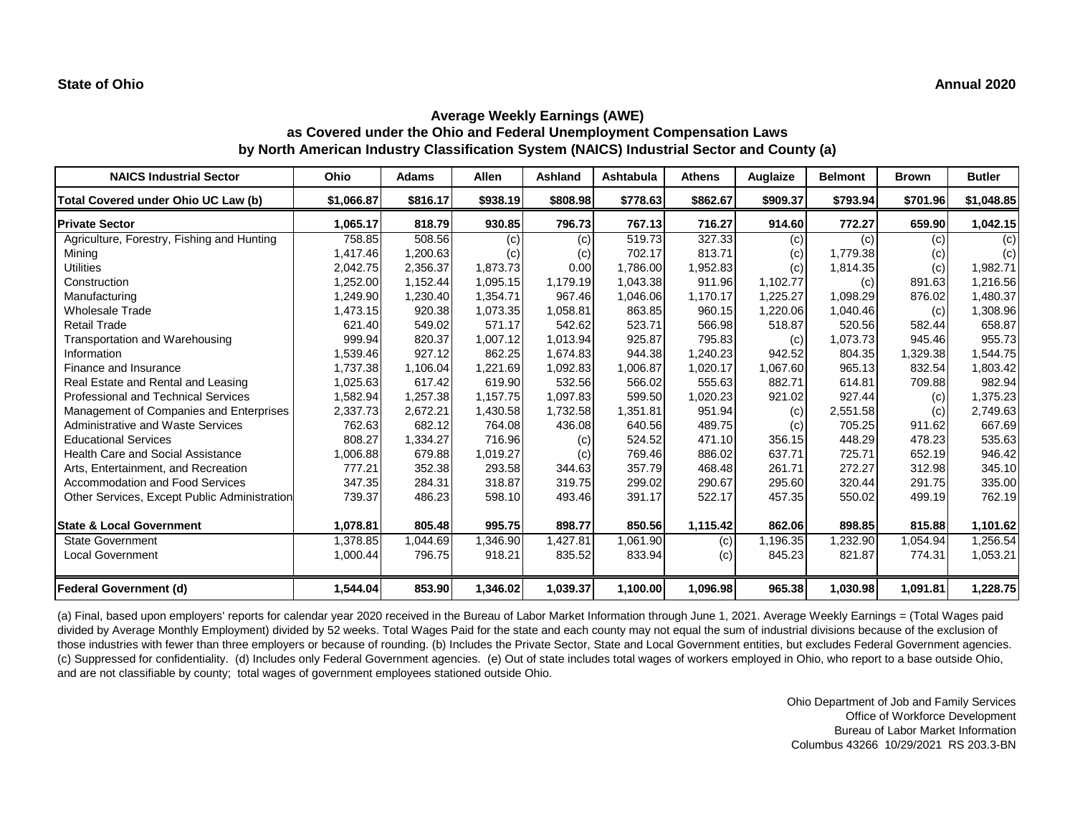# **Average Weekly Earnings (AWE) as Covered under the Ohio and Federal Unemployment Compensation Laws by North American Industry Classification System (NAICS) Industrial Sector and County (a)**

| <b>NAICS Industrial Sector</b>               | Ohio       | <b>Adams</b> | <b>Allen</b> | Ashland  | Ashtabula | Athens   | Auglaize | <b>Belmont</b> | <b>Brown</b> | <b>Butler</b> |
|----------------------------------------------|------------|--------------|--------------|----------|-----------|----------|----------|----------------|--------------|---------------|
| Total Covered under Ohio UC Law (b)          | \$1,066.87 | \$816.17     | \$938.19     | \$808.98 | \$778.63  | \$862.67 | \$909.37 | \$793.94       | \$701.96     | \$1,048.85    |
| <b>Private Sector</b>                        | 1,065.17   | 818.79       | 930.85       | 796.73   | 767.13    | 716.27   | 914.60   | 772.27         | 659.90       | 1,042.15      |
| Agriculture, Forestry, Fishing and Hunting   | 758.85     | 508.56       | (c)          | (c)      | 519.73    | 327.33   | (c)      | (c)            | (c)          | (c)           |
| Mining                                       | 1,417.46   | 1,200.63     | (c)          | (c)      | 702.17    | 813.71   | (c)      | 1,779.38       | (c)          | (c)           |
| <b>Utilities</b>                             | 2,042.75   | 2,356.37     | 1,873.73     | 0.00     | 1,786.00  | 1,952.83 | (c)      | 1,814.35       | (c)          | 1,982.71      |
| Construction                                 | 1,252.00   | 1,152.44     | 1,095.15     | 1,179.19 | 1.043.38  | 911.96   | 1,102.77 | (c)            | 891.63       | 1,216.56      |
| Manufacturing                                | 1,249.90   | 1,230.40     | 1,354.71     | 967.46   | 1,046.06  | 1,170.17 | 1,225.27 | 1,098.29       | 876.02       | 1,480.37      |
| <b>Wholesale Trade</b>                       | 1,473.15   | 920.38       | 1,073.35     | 1,058.81 | 863.85    | 960.15   | 1,220.06 | 1,040.46       | (c)          | 1,308.96      |
| <b>Retail Trade</b>                          | 621.40     | 549.02       | 571.17       | 542.62   | 523.71    | 566.98   | 518.87   | 520.56         | 582.44       | 658.87        |
| Transportation and Warehousing               | 999.94     | 820.37       | 1,007.12     | 1,013.94 | 925.87    | 795.83   | (c)      | 1,073.73       | 945.46       | 955.73        |
| Information                                  | 1,539.46   | 927.12       | 862.25       | 1,674.83 | 944.38    | 1,240.23 | 942.52   | 804.35         | 1,329.38     | 1,544.75      |
| Finance and Insurance                        | 1,737.38   | 1,106.04     | 1,221.69     | 1,092.83 | 1,006.87  | 1,020.17 | 1,067.60 | 965.13         | 832.54       | 1,803.42      |
| Real Estate and Rental and Leasing           | 1,025.63   | 617.42       | 619.90       | 532.56   | 566.02    | 555.63   | 882.71   | 614.81         | 709.88       | 982.94        |
| <b>Professional and Technical Services</b>   | 1,582.94   | 1,257.38     | 1,157.75     | 1,097.83 | 599.50    | 1,020.23 | 921.02   | 927.44         | (c)          | 1,375.23      |
| Management of Companies and Enterprises      | 2,337.73   | 2,672.21     | 1,430.58     | 1,732.58 | 1,351.81  | 951.94   | (c)      | 2,551.58       | (c)          | 2,749.63      |
| Administrative and Waste Services            | 762.63     | 682.12       | 764.08       | 436.08   | 640.56    | 489.75   | (c)      | 705.25         | 911.62       | 667.69        |
| <b>Educational Services</b>                  | 808.27     | 1,334.27     | 716.96       | (c)      | 524.52    | 471.10   | 356.15   | 448.29         | 478.23       | 535.63        |
| <b>Health Care and Social Assistance</b>     | 1,006.88   | 679.88       | 1,019.27     | (c)      | 769.46    | 886.02   | 637.71   | 725.71         | 652.19       | 946.42        |
| Arts, Entertainment, and Recreation          | 777.21     | 352.38       | 293.58       | 344.63   | 357.79    | 468.48   | 261.71   | 272.27         | 312.98       | 345.10        |
| <b>Accommodation and Food Services</b>       | 347.35     | 284.31       | 318.87       | 319.75   | 299.02    | 290.67   | 295.60   | 320.44         | 291.75       | 335.00        |
| Other Services, Except Public Administration | 739.37     | 486.23       | 598.10       | 493.46   | 391.17    | 522.17   | 457.35   | 550.02         | 499.19       | 762.19        |
| <b>State &amp; Local Government</b>          | 1,078.81   | 805.48       | 995.75       | 898.77   | 850.56    | 1,115.42 | 862.06   | 898.85         | 815.88       | 1,101.62      |
| State Government                             | 1,378.85   | 1,044.69     | 1,346.90     | 1,427.81 | 1,061.90  | (c)      | 1,196.35 | ,232.90        | 1,054.94     | 1,256.54      |
| <b>Local Government</b>                      | 1,000.44   | 796.75       | 918.21       | 835.52   | 833.94    | (c)      | 845.23   | 821.87         | 774.31       | 1,053.21      |
| <b>Federal Government (d)</b>                | 1,544.04   | 853.90       | 1,346.02     | 1,039.37 | 1,100.00  | 1,096.98 | 965.38   | 1,030.98       | 1,091.81     | 1,228.75      |

(a) Final, based upon employers' reports for calendar year 2020 received in the Bureau of Labor Market Information through June 1, 2021. Average Weekly Earnings = (Total Wages paid divided by Average Monthly Employment) divided by 52 weeks. Total Wages Paid for the state and each county may not equal the sum of industrial divisions because of the exclusion of those industries with fewer than three employers or because of rounding. (b) Includes the Private Sector, State and Local Government entities, but excludes Federal Government agencies. (c) Suppressed for confidentiality. (d) Includes only Federal Government agencies. (e) Out of state includes total wages of workers employed in Ohio, who report to a base outside Ohio, and are not classifiable by county; total wages of government employees stationed outside Ohio.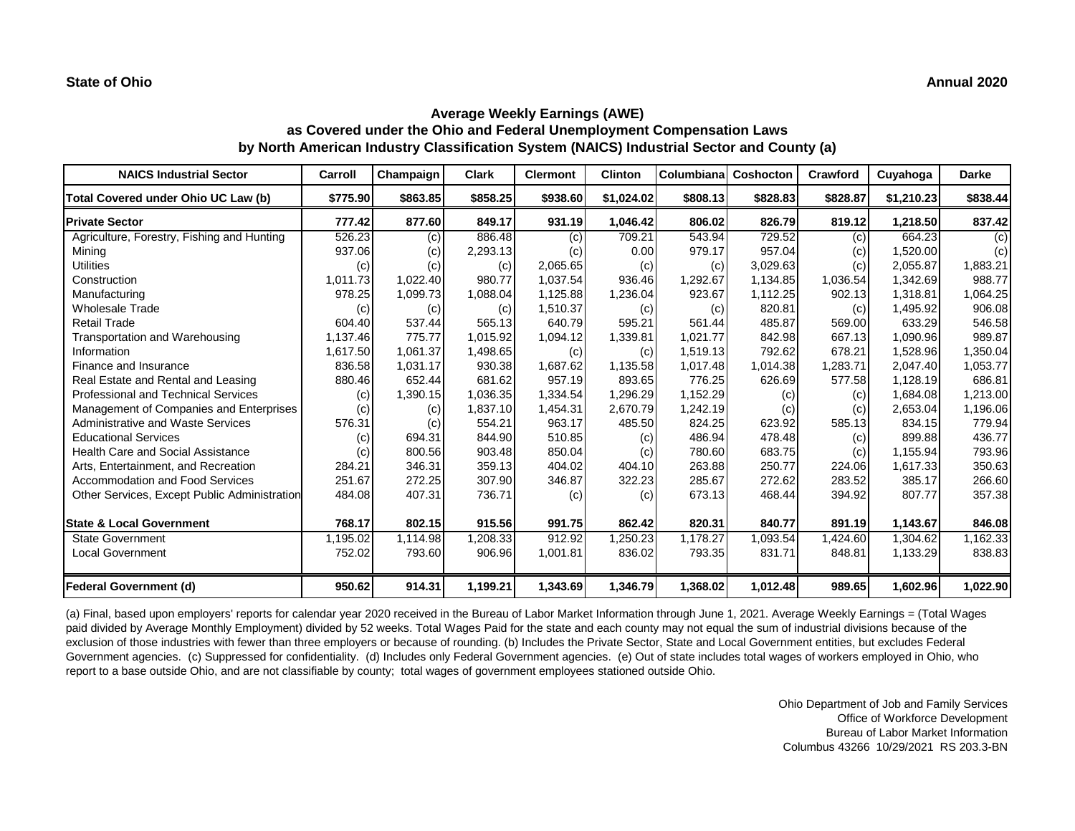## **Average Weekly Earnings (AWE) as Covered under the Ohio and Federal Unemployment Compensation Laws by North American Industry Classification System (NAICS) Industrial Sector and County (a)**

| <b>NAICS Industrial Sector</b>               | Carroll  | Champaign | <b>Clark</b> | <b>Clermont</b> | <b>Clinton</b> | Columbiana | Coshocton | Crawford | Cuyahoga   | <b>Darke</b> |
|----------------------------------------------|----------|-----------|--------------|-----------------|----------------|------------|-----------|----------|------------|--------------|
| Total Covered under Ohio UC Law (b)          | \$775.90 | \$863.85  | \$858.25     | \$938.60        | \$1,024.02     | \$808.13   | \$828.83  | \$828.87 | \$1,210.23 | \$838.44     |
| <b>Private Sector</b>                        | 777.42   | 877.60    | 849.17       | 931.19          | 1,046.42       | 806.02     | 826.79    | 819.12   | 1,218.50   | 837.42       |
| Agriculture, Forestry, Fishing and Hunting   | 526.23   | (c)       | 886.48       | (c)             | 709.21         | 543.94     | 729.52    | (c)      | 664.23     | (c)          |
| Mining                                       | 937.06   | (c)       | 2,293.13     | (c)             | 0.00           | 979.17     | 957.04    | (c)      | 1,520.00   | (c)          |
| Utilities                                    | (c)      | (c)       | (c)          | 2,065.65        | (c)            | (c)        | 3,029.63  | (c)      | 2,055.87   | 1,883.21     |
| Construction                                 | 1,011.73 | 1,022.40  | 980.77       | 1,037.54        | 936.46         | 1,292.67   | 1,134.85  | 1,036.54 | 1,342.69   | 988.77       |
| Manufacturing                                | 978.25   | 1,099.73  | 1,088.04     | 1,125.88        | 1,236.04       | 923.67     | 1,112.25  | 902.13   | 1,318.81   | 1,064.25     |
| <b>Wholesale Trade</b>                       | (c)      | (c)       | (c)          | 1,510.37        | (c)            | (c)        | 820.81    | (c)      | 1,495.92   | 906.08       |
| <b>Retail Trade</b>                          | 604.40   | 537.44    | 565.13       | 640.79          | 595.21         | 561.44     | 485.87    | 569.00   | 633.29     | 546.58       |
| Transportation and Warehousing               | 1,137.46 | 775.77    | 1,015.92     | 1,094.12        | 1,339.81       | 1,021.77   | 842.98    | 667.13   | 1,090.96   | 989.87       |
| Information                                  | 1,617.50 | 1,061.37  | 1,498.65     | (c)             | (c)            | 1,519.13   | 792.62    | 678.21   | 1,528.96   | 1,350.04     |
| Finance and Insurance                        | 836.58   | 1,031.17  | 930.38       | 1,687.62        | 1,135.58       | 1,017.48   | 1,014.38  | 1,283.71 | 2,047.40   | 1,053.77     |
| Real Estate and Rental and Leasing           | 880.46   | 652.44    | 681.62       | 957.19          | 893.65         | 776.25     | 626.69    | 577.58   | 1,128.19   | 686.81       |
| <b>Professional and Technical Services</b>   | (c)      | 1,390.15  | 1,036.35     | 1,334.54        | 1,296.29       | 1,152.29   | (c)       | (c)      | 1,684.08   | 1,213.00     |
| Management of Companies and Enterprises      | (c)      | (c)       | 1,837.10     | 1,454.31        | 2,670.79       | 1,242.19   | (c)       | (c)      | 2,653.04   | 1,196.06     |
| <b>Administrative and Waste Services</b>     | 576.31   | (c)       | 554.21       | 963.17          | 485.50         | 824.25     | 623.92    | 585.13   | 834.15     | 779.94       |
| <b>Educational Services</b>                  | (c)      | 694.31    | 844.90       | 510.85          | (c)            | 486.94     | 478.48    | (c)      | 899.88     | 436.77       |
| <b>Health Care and Social Assistance</b>     | (c)      | 800.56    | 903.48       | 850.04          | (c)            | 780.60     | 683.75    | (c)      | 1.155.94   | 793.96       |
| Arts, Entertainment, and Recreation          | 284.21   | 346.31    | 359.13       | 404.02          | 404.10         | 263.88     | 250.77    | 224.06   | 1,617.33   | 350.63       |
| <b>Accommodation and Food Services</b>       | 251.67   | 272.25    | 307.90       | 346.87          | 322.23         | 285.67     | 272.62    | 283.52   | 385.17     | 266.60       |
| Other Services, Except Public Administration | 484.08   | 407.31    | 736.71       | (c)             | (c)            | 673.13     | 468.44    | 394.92   | 807.77     | 357.38       |
| <b>State &amp; Local Government</b>          | 768.17   | 802.15    | 915.56       | 991.75          | 862.42         | 820.31     | 840.77    | 891.19   | 1,143.67   | 846.08       |
| <b>State Government</b>                      | 1,195.02 | 1,114.98  | 1,208.33     | 912.92          | 1,250.23       | 1,178.27   | 1,093.54  | 1,424.60 | 1,304.62   | 1,162.33     |
| <b>Local Government</b>                      | 752.02   | 793.60    | 906.96       | 1,001.81        | 836.02         | 793.35     | 831.71    | 848.81   | 1,133.29   | 838.83       |
| Federal Government (d)                       | 950.62   | 914.31    | 1,199.21     | 1,343.69        | 1,346.79       | 1,368.02   | 1,012.48  | 989.65   | 1,602.96   | 1,022.90     |

(a) Final, based upon employers' reports for calendar year 2020 received in the Bureau of Labor Market Information through June 1, 2021. Average Weekly Earnings = (Total Wages paid divided by Average Monthly Employment) divided by 52 weeks. Total Wages Paid for the state and each county may not equal the sum of industrial divisions because of the exclusion of those industries with fewer than three employers or because of rounding. (b) Includes the Private Sector, State and Local Government entities, but excludes Federal Government agencies. (c) Suppressed for confidentiality. (d) Includes only Federal Government agencies. (e) Out of state includes total wages of workers employed in Ohio, who report to a base outside Ohio, and are not classifiable by county; total wages of government employees stationed outside Ohio.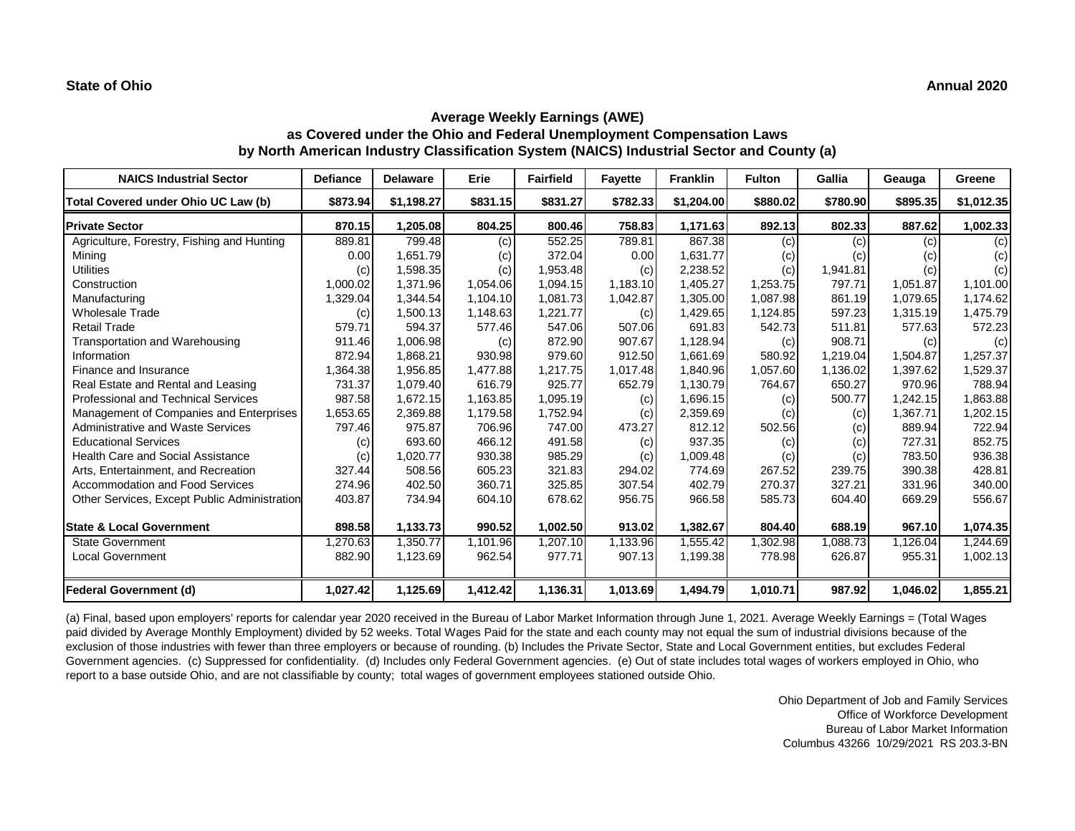## **Average Weekly Earnings (AWE) as Covered under the Ohio and Federal Unemployment Compensation Laws by North American Industry Classification System (NAICS) Industrial Sector and County (a)**

| <b>NAICS Industrial Sector</b>               | <b>Defiance</b> | <b>Delaware</b> | Erie     | <b>Fairfield</b> | <b>Fayette</b> | <b>Franklin</b> | <b>Fulton</b> | Gallia   | Geauga   | Greene     |
|----------------------------------------------|-----------------|-----------------|----------|------------------|----------------|-----------------|---------------|----------|----------|------------|
| Total Covered under Ohio UC Law (b)          | \$873.94        | \$1,198.27      | \$831.15 | \$831.27         | \$782.33       | \$1,204.00      | \$880.02      | \$780.90 | \$895.35 | \$1,012.35 |
| <b>Private Sector</b>                        | 870.15          | 1,205.08        | 804.25   | 800.46           | 758.83         | 1,171.63        | 892.13        | 802.33   | 887.62   | 1,002.33   |
| Agriculture, Forestry, Fishing and Hunting   | 889.81          | 799.48          | (c)      | 552.25           | 789.81         | 867.38          | (c)           | (c)      | (c)      | (c)        |
| Mining                                       | 0.00            | 1,651.79        | (c)      | 372.04           | 0.00           | 1,631.77        | (c)           | (c)      | (c)      | (c)        |
| <b>Utilities</b>                             | (c)             | 1,598.35        | (c)      | 1,953.48         | (c)            | 2,238.52        | (c)           | 1,941.81 | (c)      | (c)        |
| Construction                                 | 1,000.02        | 1,371.96        | 1,054.06 | 1,094.15         | 1,183.10       | 1,405.27        | 1,253.75      | 797.71   | 1,051.87 | 1,101.00   |
| Manufacturing                                | 1,329.04        | 1,344.54        | 1,104.10 | 1,081.73         | 1,042.87       | 1,305.00        | 1,087.98      | 861.19   | 1,079.65 | 1,174.62   |
| <b>Wholesale Trade</b>                       | (c)             | 1,500.13        | 1,148.63 | 1,221.77         | (c)            | 1,429.65        | 1,124.85      | 597.23   | 1,315.19 | 1,475.79   |
| <b>Retail Trade</b>                          | 579.71          | 594.37          | 577.46   | 547.06           | 507.06         | 691.83          | 542.73        | 511.81   | 577.63   | 572.23     |
| <b>Transportation and Warehousing</b>        | 911.46          | 1,006.98        | (c)      | 872.90           | 907.67         | 1,128.94        | (c)           | 908.71   | (c)      | (c)        |
| Information                                  | 872.94          | 1.868.21        | 930.98   | 979.60           | 912.50         | 1,661.69        | 580.92        | 1.219.04 | 1,504.87 | 1,257.37   |
| Finance and Insurance                        | 1,364.38        | 1,956.85        | 1,477.88 | 1,217.75         | 1,017.48       | 1,840.96        | 1,057.60      | 1,136.02 | 1,397.62 | 1,529.37   |
| Real Estate and Rental and Leasing           | 731.37          | 1,079.40        | 616.79   | 925.77           | 652.79         | 1,130.79        | 764.67        | 650.27   | 970.96   | 788.94     |
| Professional and Technical Services          | 987.58          | 1,672.15        | 1,163.85 | 1,095.19         | (c)            | 1,696.15        | (c)           | 500.77   | 1,242.15 | 1,863.88   |
| Management of Companies and Enterprises      | 1,653.65        | 2,369.88        | 1,179.58 | 1,752.94         | (c)            | 2,359.69        | (c)           | (c)      | 1,367.71 | 1,202.15   |
| <b>Administrative and Waste Services</b>     | 797.46          | 975.87          | 706.96   | 747.00           | 473.27         | 812.12          | 502.56        | (c)      | 889.94   | 722.94     |
| <b>Educational Services</b>                  | (c)             | 693.60          | 466.12   | 491.58           | (c)            | 937.35          | (c)           | (c)      | 727.31   | 852.75     |
| <b>Health Care and Social Assistance</b>     | (c)             | 1,020.77        | 930.38   | 985.29           | (c)            | 1,009.48        | (c)           | (c)      | 783.50   | 936.38     |
| Arts, Entertainment, and Recreation          | 327.44          | 508.56          | 605.23   | 321.83           | 294.02         | 774.69          | 267.52        | 239.75   | 390.38   | 428.81     |
| Accommodation and Food Services              | 274.96          | 402.50          | 360.71   | 325.85           | 307.54         | 402.79          | 270.37        | 327.21   | 331.96   | 340.00     |
| Other Services, Except Public Administration | 403.87          | 734.94          | 604.10   | 678.62           | 956.75         | 966.58          | 585.73        | 604.40   | 669.29   | 556.67     |
| <b>State &amp; Local Government</b>          | 898.58          | 1,133.73        | 990.52   | 1,002.50         | 913.02         | 1,382.67        | 804.40        | 688.19   | 967.10   | 1,074.35   |
| <b>State Government</b>                      | ,270.63         | 1,350.77        | 1.101.96 | 1,207.10         | 1,133.96       | 1,555.42        | 1,302.98      | 1,088.73 | 1,126.04 | 1,244.69   |
| <b>Local Government</b>                      | 882.90          | 1,123.69        | 962.54   | 977.71           | 907.13         | 1,199.38        | 778.98        | 626.87   | 955.31   | 1,002.13   |
| Federal Government (d)                       | 1,027.42        | 1,125.69        | 1,412.42 | 1,136.31         | 1,013.69       | 1,494.79        | 1,010.71      | 987.92   | 1,046.02 | 1,855.21   |

(a) Final, based upon employers' reports for calendar year 2020 received in the Bureau of Labor Market Information through June 1, 2021. Average Weekly Earnings = (Total Wages paid divided by Average Monthly Employment) divided by 52 weeks. Total Wages Paid for the state and each county may not equal the sum of industrial divisions because of the exclusion of those industries with fewer than three employers or because of rounding. (b) Includes the Private Sector, State and Local Government entities, but excludes Federal Government agencies. (c) Suppressed for confidentiality. (d) Includes only Federal Government agencies. (e) Out of state includes total wages of workers employed in Ohio, who report to a base outside Ohio, and are not classifiable by county; total wages of government employees stationed outside Ohio.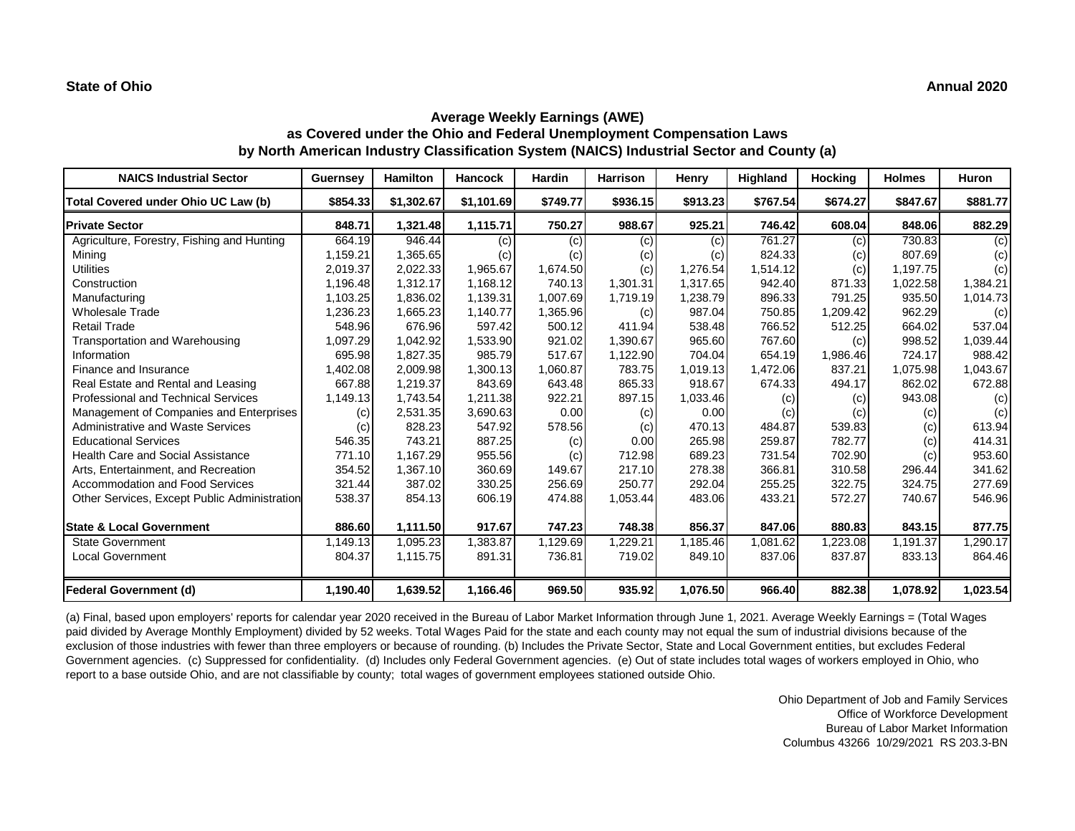## **Average Weekly Earnings (AWE) as Covered under the Ohio and Federal Unemployment Compensation Laws by North American Industry Classification System (NAICS) Industrial Sector and County (a)**

| <b>NAICS Industrial Sector</b>               | <b>Guernsey</b> | <b>Hamilton</b> | <b>Hancock</b> | <b>Hardin</b> | <b>Harrison</b> | Henry    | Highland | <b>Hocking</b> | <b>Holmes</b> | <b>Huron</b> |
|----------------------------------------------|-----------------|-----------------|----------------|---------------|-----------------|----------|----------|----------------|---------------|--------------|
| Total Covered under Ohio UC Law (b)          | \$854.33        | \$1,302.67      | \$1,101.69     | \$749.77      | \$936.15        | \$913.23 | \$767.54 | \$674.27       | \$847.67      | \$881.77     |
| <b>Private Sector</b>                        | 848.71          | 1,321.48        | 1,115.71       | 750.27        | 988.67          | 925.21   | 746.42   | 608.04         | 848.06        | 882.29       |
| Agriculture, Forestry, Fishing and Hunting   | 664.19          | 946.44          | (c)            | (c)           | (c)             | (c)      | 761.27   | (c)            | 730.83        | (c)          |
| Mining                                       | 1,159.21        | 1,365.65        | (c)            | (c)           | (c)             | (c)      | 824.33   | (c)            | 807.69        | (c)          |
| <b>Utilities</b>                             | 2,019.37        | 2,022.33        | 1,965.67       | 1,674.50      | (c)             | 1,276.54 | 1,514.12 | (c)            | 1,197.75      | (c)          |
| Construction                                 | 1.196.48        | 1,312.17        | 1,168.12       | 740.13        | 1,301.31        | 1.317.65 | 942.40   | 871.33         | 1,022.58      | 1,384.21     |
| Manufacturing                                | 1,103.25        | 1,836.02        | 1,139.31       | 1,007.69      | 1,719.19        | 1,238.79 | 896.33   | 791.25         | 935.50        | 1,014.73     |
| <b>Wholesale Trade</b>                       | ,236.23         | 1,665.23        | 1,140.77       | 1,365.96      | (c)             | 987.04   | 750.85   | 1,209.42       | 962.29        | (c)          |
| <b>Retail Trade</b>                          | 548.96          | 676.96          | 597.42         | 500.12        | 411.94          | 538.48   | 766.52   | 512.25         | 664.02        | 537.04       |
| Transportation and Warehousing               | .097.29         | 1,042.92        | 1,533.90       | 921.02        | 1,390.67        | 965.60   | 767.60   | (c)            | 998.52        | 1,039.44     |
| Information                                  | 695.98          | 1,827.35        | 985.79         | 517.67        | 1,122.90        | 704.04   | 654.19   | 1,986.46       | 724.17        | 988.42       |
| Finance and Insurance                        | .402.08         | 2,009.98        | 1,300.13       | 1,060.87      | 783.75          | 1,019.13 | 1,472.06 | 837.21         | 1,075.98      | 1,043.67     |
| Real Estate and Rental and Leasing           | 667.88          | 1,219.37        | 843.69         | 643.48        | 865.33          | 918.67   | 674.33   | 494.17         | 862.02        | 672.88       |
| <b>Professional and Technical Services</b>   | 1,149.13        | 1,743.54        | 1,211.38       | 922.21        | 897.15          | 1,033.46 | (c)      | (c)            | 943.08        | (c)          |
| Management of Companies and Enterprises      | (c)             | 2,531.35        | 3,690.63       | 0.00          | (c)             | 0.00     | (c)      | (c)            | (c)           | (c)          |
| <b>Administrative and Waste Services</b>     | (c)             | 828.23          | 547.92         | 578.56        | (c)             | 470.13   | 484.87   | 539.83         | (c)           | 613.94       |
| <b>Educational Services</b>                  | 546.35          | 743.21          | 887.25         | (c)           | 0.00            | 265.98   | 259.87   | 782.77         | (c)           | 414.31       |
| <b>Health Care and Social Assistance</b>     | 771.10          | 1,167.29        | 955.56         | (c)           | 712.98          | 689.23   | 731.54   | 702.90         | (c)           | 953.60       |
| Arts, Entertainment, and Recreation          | 354.52          | 1,367.10        | 360.69         | 149.67        | 217.10          | 278.38   | 366.81   | 310.58         | 296.44        | 341.62       |
| Accommodation and Food Services              | 321.44          | 387.02          | 330.25         | 256.69        | 250.77          | 292.04   | 255.25   | 322.75         | 324.75        | 277.69       |
| Other Services, Except Public Administration | 538.37          | 854.13          | 606.19         | 474.88        | 1,053.44        | 483.06   | 433.21   | 572.27         | 740.67        | 546.96       |
| <b>State &amp; Local Government</b>          | 886.60          | 1,111.50        | 917.67         | 747.23        | 748.38          | 856.37   | 847.06   | 880.83         | 843.15        | 877.75       |
| <b>State Government</b>                      | 1,149.13        | 1,095.23        | 1,383.87       | 1,129.69      | ,229.21         | 1,185.46 | 1,081.62 | ,223.08        | 1,191.37      | ,290.17      |
| <b>Local Government</b>                      | 804.37          | 1,115.75        | 891.31         | 736.81        | 719.02          | 849.10   | 837.06   | 837.87         | 833.13        | 864.46       |
| <b>Federal Government (d)</b>                | 1,190.40        | 1,639.52        | 1,166.46       | 969.50        | 935.92          | 1,076.50 | 966.40   | 882.38         | 1,078.92      | 1,023.54     |

(a) Final, based upon employers' reports for calendar year 2020 received in the Bureau of Labor Market Information through June 1, 2021. Average Weekly Earnings = (Total Wages paid divided by Average Monthly Employment) divided by 52 weeks. Total Wages Paid for the state and each county may not equal the sum of industrial divisions because of the exclusion of those industries with fewer than three employers or because of rounding. (b) Includes the Private Sector, State and Local Government entities, but excludes Federal Government agencies. (c) Suppressed for confidentiality. (d) Includes only Federal Government agencies. (e) Out of state includes total wages of workers employed in Ohio, who report to a base outside Ohio, and are not classifiable by county; total wages of government employees stationed outside Ohio.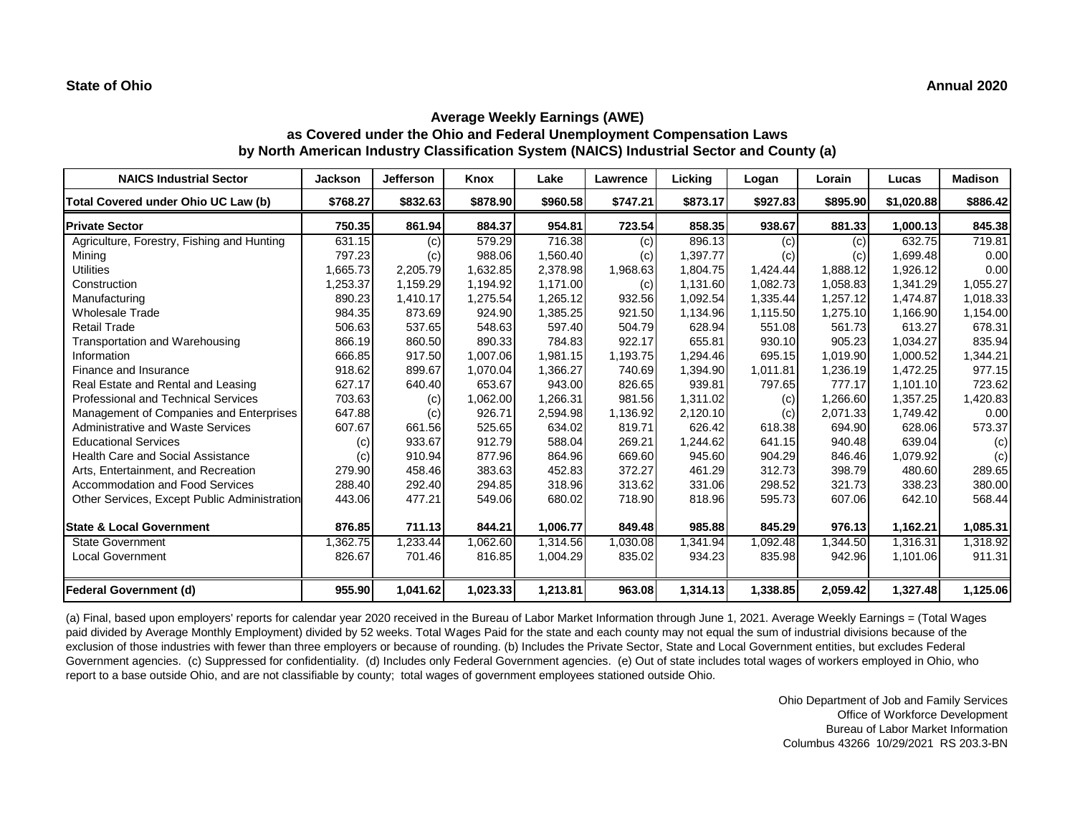## **Average Weekly Earnings (AWE) as Covered under the Ohio and Federal Unemployment Compensation Laws by North American Industry Classification System (NAICS) Industrial Sector and County (a)**

| <b>NAICS Industrial Sector</b>               | <b>Jackson</b> | <b>Jefferson</b> | Knox     | Lake     | Lawrence | Licking  | Logan    | Lorain   | Lucas      | <b>Madison</b> |
|----------------------------------------------|----------------|------------------|----------|----------|----------|----------|----------|----------|------------|----------------|
| Total Covered under Ohio UC Law (b)          | \$768.27       | \$832.63         | \$878.90 | \$960.58 | \$747.21 | \$873.17 | \$927.83 | \$895.90 | \$1,020.88 | \$886.42       |
| <b>Private Sector</b>                        | 750.35         | 861.94           | 884.37   | 954.81   | 723.54   | 858.35   | 938.67   | 881.33   | 1,000.13   | 845.38         |
| Agriculture, Forestry, Fishing and Hunting   | 631.15         | (c)              | 579.29   | 716.38   | (c)      | 896.13   | (c)      | (c)      | 632.75     | 719.81         |
| Minina                                       | 797.23         | (c)              | 988.06   | 1.560.40 | (c)      | 1,397.77 | (c)      | (c)      | 1.699.48   | 0.00           |
| <b>Utilities</b>                             | 1,665.73       | 2,205.79         | 1,632.85 | 2,378.98 | 1,968.63 | 1,804.75 | 1,424.44 | 1,888.12 | 1,926.12   | 0.00           |
| Construction                                 | 1,253.37       | 1,159.29         | 1,194.92 | 1,171.00 | (c)      | 1,131.60 | 1,082.73 | 1,058.83 | 1,341.29   | 1,055.27       |
| Manufacturing                                | 890.23         | 1,410.17         | 1,275.54 | 1,265.12 | 932.56   | 1,092.54 | 1,335.44 | 1,257.12 | 1,474.87   | 1,018.33       |
| <b>Wholesale Trade</b>                       | 984.35         | 873.69           | 924.90   | 1,385.25 | 921.50   | 1,134.96 | 1,115.50 | 1,275.10 | 1,166.90   | 1,154.00       |
| <b>Retail Trade</b>                          | 506.63         | 537.65           | 548.63   | 597.40   | 504.79   | 628.94   | 551.08   | 561.73   | 613.27     | 678.31         |
| Transportation and Warehousing               | 866.19         | 860.50           | 890.33   | 784.83   | 922.17   | 655.81   | 930.10   | 905.23   | 1,034.27   | 835.94         |
| Information                                  | 666.85         | 917.50           | 1,007.06 | 1,981.15 | 1,193.75 | 1,294.46 | 695.15   | 1,019.90 | 1,000.52   | 1,344.21       |
| Finance and Insurance                        | 918.62         | 899.67           | 1.070.04 | 1,366.27 | 740.69   | 1,394.90 | 1,011.81 | 1,236.19 | 1,472.25   | 977.15         |
| Real Estate and Rental and Leasing           | 627.17         | 640.40           | 653.67   | 943.00   | 826.65   | 939.81   | 797.65   | 777.17   | 1,101.10   | 723.62         |
| Professional and Technical Services          | 703.63         | (c)              | 1,062.00 | 1,266.31 | 981.56   | 1,311.02 | (c)      | 1,266.60 | 1,357.25   | 1,420.83       |
| Management of Companies and Enterprises      | 647.88         | (c)              | 926.71   | 2,594.98 | 1,136.92 | 2,120.10 | (c)      | 2,071.33 | 1,749.42   | 0.00           |
| Administrative and Waste Services            | 607.67         | 661.56           | 525.65   | 634.02   | 819.71   | 626.42   | 618.38   | 694.90   | 628.06     | 573.37         |
| <b>Educational Services</b>                  | (c)            | 933.67           | 912.79   | 588.04   | 269.21   | 1,244.62 | 641.15   | 940.48   | 639.04     | (c)            |
| <b>Health Care and Social Assistance</b>     | (c)            | 910.94           | 877.96   | 864.96   | 669.60   | 945.60   | 904.29   | 846.46   | 1,079.92   | (c)            |
| Arts, Entertainment, and Recreation          | 279.90         | 458.46           | 383.63   | 452.83   | 372.27   | 461.29   | 312.73   | 398.79   | 480.60     | 289.65         |
| Accommodation and Food Services              | 288.40         | 292.40           | 294.85   | 318.96   | 313.62   | 331.06   | 298.52   | 321.73   | 338.23     | 380.00         |
| Other Services, Except Public Administration | 443.06         | 477.21           | 549.06   | 680.02   | 718.90   | 818.96   | 595.73   | 607.06   | 642.10     | 568.44         |
| <b>State &amp; Local Government</b>          | 876.85         | 711.13           | 844.21   | 1,006.77 | 849.48   | 985.88   | 845.29   | 976.13   | 1,162.21   | 1,085.31       |
| <b>State Government</b>                      | ,362.75        | 1,233.44         | 1,062.60 | 1,314.56 | 0.030.08 | 1,341.94 | 1,092.48 | 1,344.50 | 1,316.31   | 1,318.92       |
| <b>Local Government</b>                      | 826.67         | 701.46           | 816.85   | 1,004.29 | 835.02   | 934.23   | 835.98   | 942.96   | 1,101.06   | 911.31         |
| Federal Government (d)                       | 955.90         | 1,041.62         | 1,023.33 | 1,213.81 | 963.08   | 1,314.13 | 1,338.85 | 2,059.42 | 1,327.48   | 1,125.06       |

(a) Final, based upon employers' reports for calendar year 2020 received in the Bureau of Labor Market Information through June 1, 2021. Average Weekly Earnings = (Total Wages paid divided by Average Monthly Employment) divided by 52 weeks. Total Wages Paid for the state and each county may not equal the sum of industrial divisions because of the exclusion of those industries with fewer than three employers or because of rounding. (b) Includes the Private Sector, State and Local Government entities, but excludes Federal Government agencies. (c) Suppressed for confidentiality. (d) Includes only Federal Government agencies. (e) Out of state includes total wages of workers employed in Ohio, who report to a base outside Ohio, and are not classifiable by county; total wages of government employees stationed outside Ohio.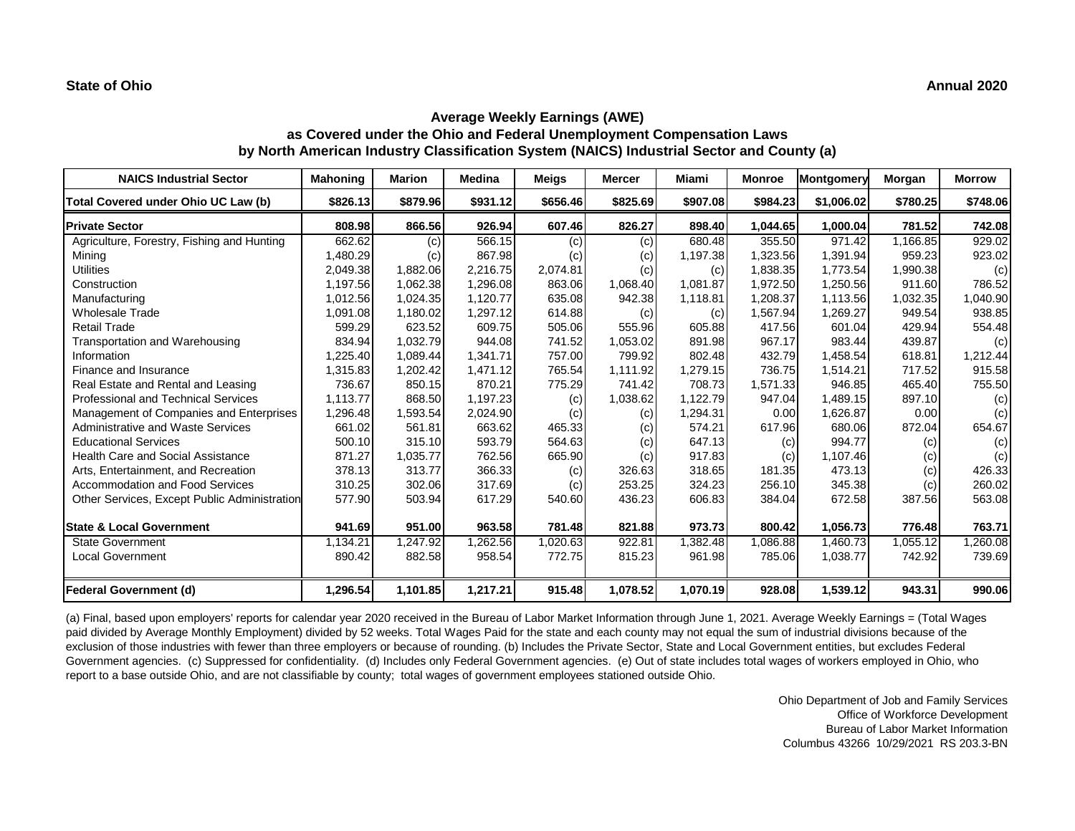## **Average Weekly Earnings (AWE) as Covered under the Ohio and Federal Unemployment Compensation Laws by North American Industry Classification System (NAICS) Industrial Sector and County (a)**

| <b>NAICS Industrial Sector</b>               | <b>Mahoning</b> | <b>Marion</b> | <b>Medina</b> | <b>Meigs</b> | <b>Mercer</b> | Miami    | <b>Monroe</b> | Montgomery | Morgan   | <b>Morrow</b> |
|----------------------------------------------|-----------------|---------------|---------------|--------------|---------------|----------|---------------|------------|----------|---------------|
| Total Covered under Ohio UC Law (b)          | \$826.13        | \$879.96      | \$931.12      | \$656.46     | \$825.69      | \$907.08 | \$984.23      | \$1,006.02 | \$780.25 | \$748.06      |
| <b>Private Sector</b>                        | 808.98          | 866.56        | 926.94        | 607.46       | 826.27        | 898.40   | 1,044.65      | 1,000.04   | 781.52   | 742.08        |
| Agriculture, Forestry, Fishing and Hunting   | 662.62          | (c)           | 566.15        | (c)          | (c)           | 680.48   | 355.50        | 971.42     | 1,166.85 | 929.02        |
| Mining                                       | 1,480.29        | (c)           | 867.98        | (c)          | (c)           | 1,197.38 | 1,323.56      | 1.391.94   | 959.23   | 923.02        |
| <b>Utilities</b>                             | 2,049.38        | 1,882.06      | 2,216.75      | 2,074.81     | (c)           | (c)      | 1,838.35      | 1,773.54   | 1,990.38 | (c)           |
| Construction                                 | 1,197.56        | 1,062.38      | 1,296.08      | 863.06       | 1,068.40      | 1,081.87 | 1,972.50      | 1,250.56   | 911.60   | 786.52        |
| Manufacturing                                | 1,012.56        | 1,024.35      | 1,120.77      | 635.08       | 942.38        | 1,118.81 | 1,208.37      | 1,113.56   | 1,032.35 | 1,040.90      |
| <b>Wholesale Trade</b>                       | 1,091.08        | 1,180.02      | 1,297.12      | 614.88       | (c)           | (c)      | 1,567.94      | 1,269.27   | 949.54   | 938.85        |
| <b>Retail Trade</b>                          | 599.29          | 623.52        | 609.75        | 505.06       | 555.96        | 605.88   | 417.56        | 601.04     | 429.94   | 554.48        |
| Transportation and Warehousing               | 834.94          | 1,032.79      | 944.08        | 741.52       | 1,053.02      | 891.98   | 967.17        | 983.44     | 439.87   | (c)           |
| Information                                  | 1,225.40        | 1.089.44      | 1.341.71      | 757.00       | 799.92        | 802.48   | 432.79        | 1.458.54   | 618.81   | 1,212.44      |
| Finance and Insurance                        | 1,315.83        | 1,202.42      | 1,471.12      | 765.54       | 1,111.92      | 1,279.15 | 736.75        | 1,514.21   | 717.52   | 915.58        |
| Real Estate and Rental and Leasing           | 736.67          | 850.15        | 870.21        | 775.29       | 741.42        | 708.73   | 1,571.33      | 946.85     | 465.40   | 755.50        |
| Professional and Technical Services          | 1,113.77        | 868.50        | 1,197.23      | (c)          | 1,038.62      | 1,122.79 | 947.04        | 1,489.15   | 897.10   | (c)           |
| Management of Companies and Enterprises      | 1,296.48        | 1,593.54      | 2,024.90      | (c)          | (c)           | 1,294.31 | 0.00          | 1,626.87   | 0.00     | (c)           |
| Administrative and Waste Services            | 661.02          | 561.81        | 663.62        | 465.33       | (c)           | 574.21   | 617.96        | 680.06     | 872.04   | 654.67        |
| <b>Educational Services</b>                  | 500.10          | 315.10        | 593.79        | 564.63       | (c)           | 647.13   | (c)           | 994.77     | (c)      | (c)           |
| <b>Health Care and Social Assistance</b>     | 871.27          | 1,035.77      | 762.56        | 665.90       | (c)           | 917.83   | (c)           | 1,107.46   | (c)      | (c)           |
| Arts, Entertainment, and Recreation          | 378.13          | 313.77        | 366.33        | (c)          | 326.63        | 318.65   | 181.35        | 473.13     | (c)      | 426.33        |
| Accommodation and Food Services              | 310.25          | 302.06        | 317.69        | (c)          | 253.25        | 324.23   | 256.10        | 345.38     | (c)      | 260.02        |
| Other Services, Except Public Administration | 577.90          | 503.94        | 617.29        | 540.60       | 436.23        | 606.83   | 384.04        | 672.58     | 387.56   | 563.08        |
| <b>State &amp; Local Government</b>          | 941.69          | 951.00        | 963.58        | 781.48       | 821.88        | 973.73   | 800.42        | 1,056.73   | 776.48   | 763.71        |
| <b>State Government</b>                      | 1,134.21        | 1,247.92      | ,262.56       | 1,020.63     | 922.81        | 1,382.48 | 1,086.88      | 1,460.73   | 1,055.12 | 1,260.08      |
| <b>Local Government</b>                      | 890.42          | 882.58        | 958.54        | 772.75       | 815.23        | 961.98   | 785.06        | 1,038.77   | 742.92   | 739.69        |
| Federal Government (d)                       | 1,296.54        | 1,101.85      | 1,217.21      | 915.48       | 1,078.52      | 1,070.19 | 928.08        | 1,539.12   | 943.31   | 990.06        |

(a) Final, based upon employers' reports for calendar year 2020 received in the Bureau of Labor Market Information through June 1, 2021. Average Weekly Earnings = (Total Wages paid divided by Average Monthly Employment) divided by 52 weeks. Total Wages Paid for the state and each county may not equal the sum of industrial divisions because of the exclusion of those industries with fewer than three employers or because of rounding. (b) Includes the Private Sector, State and Local Government entities, but excludes Federal Government agencies. (c) Suppressed for confidentiality. (d) Includes only Federal Government agencies. (e) Out of state includes total wages of workers employed in Ohio, who report to a base outside Ohio, and are not classifiable by county; total wages of government employees stationed outside Ohio.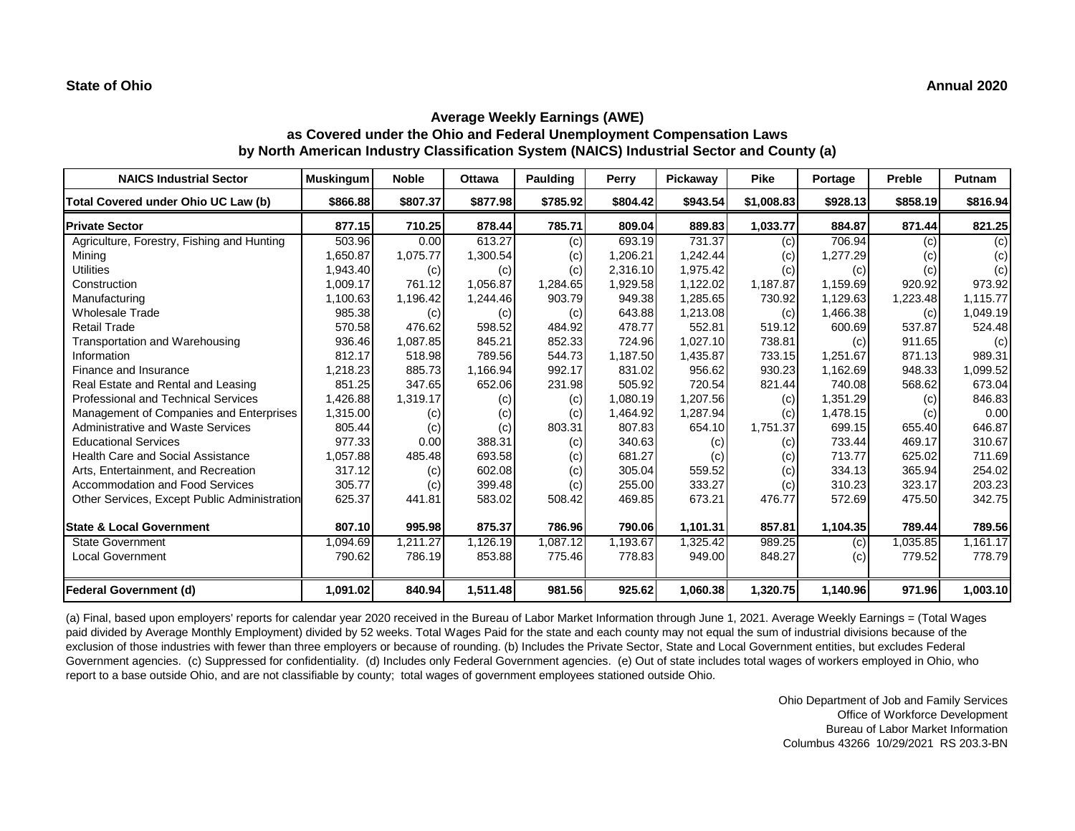## **Average Weekly Earnings (AWE) as Covered under the Ohio and Federal Unemployment Compensation Laws by North American Industry Classification System (NAICS) Industrial Sector and County (a)**

| <b>NAICS Industrial Sector</b>               | <b>Muskingum</b> | <b>Noble</b> | <b>Ottawa</b> | Paulding | Perry    | Pickaway | <b>Pike</b> | Portage  | Preble   | Putnam   |
|----------------------------------------------|------------------|--------------|---------------|----------|----------|----------|-------------|----------|----------|----------|
| Total Covered under Ohio UC Law (b)          | \$866.88         | \$807.37     | \$877.98      | \$785.92 | \$804.42 | \$943.54 | \$1,008.83  | \$928.13 | \$858.19 | \$816.94 |
| <b>Private Sector</b>                        | 877.15           | 710.25       | 878.44        | 785.71   | 809.04   | 889.83   | 1,033.77    | 884.87   | 871.44   | 821.25   |
| Agriculture, Forestry, Fishing and Hunting   | 503.96           | 0.00         | 613.27        | (c)      | 693.19   | 731.37   | (c)         | 706.94   | (c)      | (c)      |
| Mining                                       | 1,650.87         | 1,075.77     | 1,300.54      | (c)      | 1,206.21 | 1,242.44 | (c)         | 1,277.29 | (c)      | (c)      |
| <b>Utilities</b>                             | 1,943.40         | (c)          | (c)           | (c)      | 2,316.10 | 1,975.42 | (c)         | (c)      | (c)      | (c)      |
| Construction                                 | 1,009.17         | 761.12       | 1,056.87      | 1,284.65 | 1,929.58 | 1,122.02 | 1,187.87    | 1,159.69 | 920.92   | 973.92   |
| Manufacturing                                | 1,100.63         | 1,196.42     | 1,244.46      | 903.79   | 949.38   | 1,285.65 | 730.92      | 1,129.63 | 1,223.48 | 1,115.77 |
| <b>Wholesale Trade</b>                       | 985.38           | (c)          | (c)           | (c)      | 643.88   | 1,213.08 | (c)         | 1,466.38 | (c)      | 1,049.19 |
| <b>Retail Trade</b>                          | 570.58           | 476.62       | 598.52        | 484.92   | 478.77   | 552.81   | 519.12      | 600.69   | 537.87   | 524.48   |
| Transportation and Warehousing               | 936.46           | 1,087.85     | 845.21        | 852.33   | 724.96   | 1,027.10 | 738.81      | (c)      | 911.65   | (c)      |
| Information                                  | 812.17           | 518.98       | 789.56        | 544.73   | 1,187.50 | 1,435.87 | 733.15      | 1.251.67 | 871.13   | 989.31   |
| Finance and Insurance                        | 1,218.23         | 885.73       | 1,166.94      | 992.17   | 831.02   | 956.62   | 930.23      | 1,162.69 | 948.33   | 1,099.52 |
| Real Estate and Rental and Leasing           | 851.25           | 347.65       | 652.06        | 231.98   | 505.92   | 720.54   | 821.44      | 740.08   | 568.62   | 673.04   |
| Professional and Technical Services          | 1,426.88         | 1,319.17     | (c)           | (c)      | 1,080.19 | 1,207.56 | (c)         | 1,351.29 | (c)      | 846.83   |
| Management of Companies and Enterprises      | 1,315.00         | (c)          | (c)           | (c)      | 1,464.92 | 1,287.94 | (c)         | 1,478.15 | (c)      | 0.00     |
| Administrative and Waste Services            | 805.44           | (c)          | (c)           | 803.31   | 807.83   | 654.10   | 1,751.37    | 699.15   | 655.40   | 646.87   |
| <b>Educational Services</b>                  | 977.33           | 0.00         | 388.31        | (c)      | 340.63   | (c)      | (c)         | 733.44   | 469.17   | 310.67   |
| <b>Health Care and Social Assistance</b>     | 1,057.88         | 485.48       | 693.58        | (c)      | 681.27   | (c)      | (c)         | 713.77   | 625.02   | 711.69   |
| Arts, Entertainment, and Recreation          | 317.12           | (c)          | 602.08        | (c)      | 305.04   | 559.52   | (c)         | 334.13   | 365.94   | 254.02   |
| Accommodation and Food Services              | 305.77           | (c)          | 399.48        | (c)      | 255.00   | 333.27   | (c)         | 310.23   | 323.17   | 203.23   |
| Other Services, Except Public Administration | 625.37           | 441.81       | 583.02        | 508.42   | 469.85   | 673.21   | 476.77      | 572.69   | 475.50   | 342.75   |
| <b>State &amp; Local Government</b>          | 807.10           | 995.98       | 875.37        | 786.96   | 790.06   | 1,101.31 | 857.81      | 1,104.35 | 789.44   | 789.56   |
| <b>State Government</b>                      | 1,094.69         | 1,211.27     | 1,126.19      | 1,087.12 | 1,193.67 | 1,325.42 | 989.25      | (c)      | 1,035.85 | 1.161.17 |
| <b>Local Government</b>                      | 790.62           | 786.19       | 853.88        | 775.46   | 778.83   | 949.00   | 848.27      | (c)      | 779.52   | 778.79   |
| Federal Government (d)                       | 1,091.02         | 840.94       | 1,511.48      | 981.56   | 925.62   | 1,060.38 | 1,320.75    | 1,140.96 | 971.96   | 1,003.10 |

(a) Final, based upon employers' reports for calendar year 2020 received in the Bureau of Labor Market Information through June 1, 2021. Average Weekly Earnings = (Total Wages paid divided by Average Monthly Employment) divided by 52 weeks. Total Wages Paid for the state and each county may not equal the sum of industrial divisions because of the exclusion of those industries with fewer than three employers or because of rounding. (b) Includes the Private Sector, State and Local Government entities, but excludes Federal Government agencies. (c) Suppressed for confidentiality. (d) Includes only Federal Government agencies. (e) Out of state includes total wages of workers employed in Ohio, who report to a base outside Ohio, and are not classifiable by county; total wages of government employees stationed outside Ohio.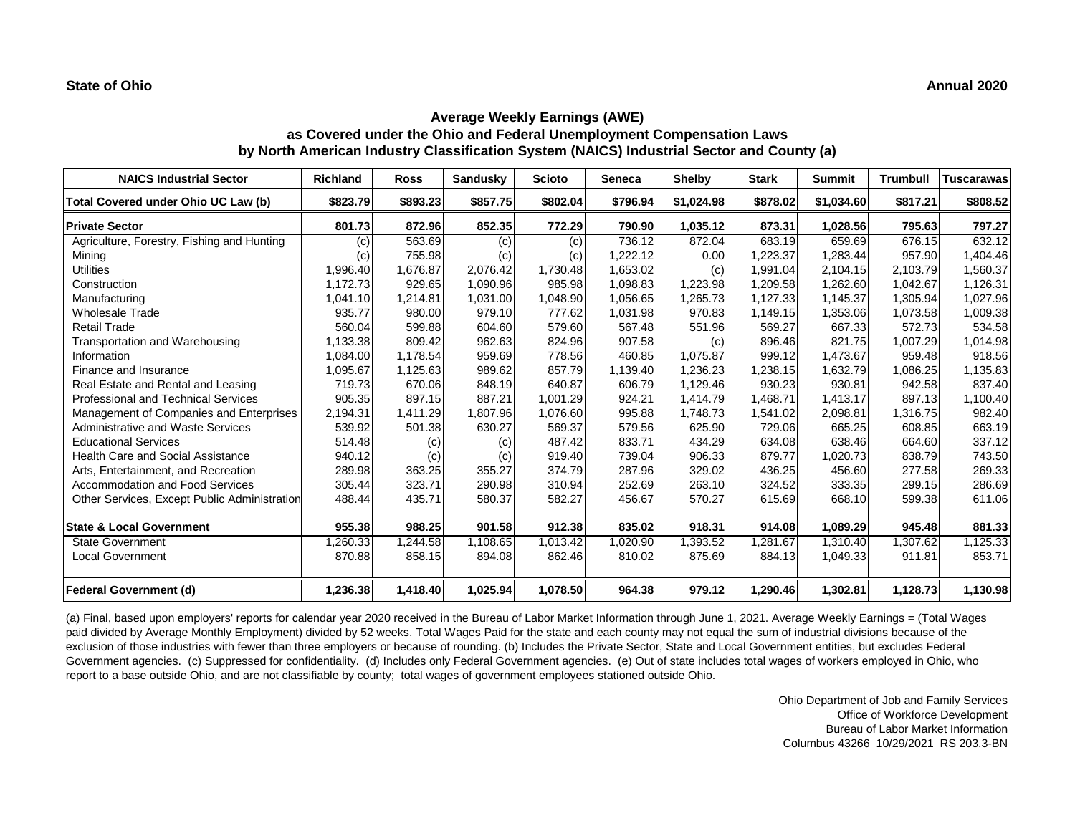## **Average Weekly Earnings (AWE) as Covered under the Ohio and Federal Unemployment Compensation Laws by North American Industry Classification System (NAICS) Industrial Sector and County (a)**

| <b>NAICS Industrial Sector</b>               | <b>Richland</b> | <b>Ross</b> | <b>Sandusky</b> | <b>Scioto</b> | <b>Seneca</b> | <b>Shelby</b> | <b>Stark</b> | <b>Summit</b> | Trumbull | <b>Tuscarawas</b> |
|----------------------------------------------|-----------------|-------------|-----------------|---------------|---------------|---------------|--------------|---------------|----------|-------------------|
| Total Covered under Ohio UC Law (b)          | \$823.79        | \$893.23    | \$857.75        | \$802.04      | \$796.94      | \$1.024.98    | \$878.02     | \$1,034.60    | \$817.21 | \$808.52          |
| <b>Private Sector</b>                        | 801.73          | 872.96      | 852.35          | 772.29        | 790.90        | 1,035.12      | 873.31       | 1,028.56      | 795.63   | 797.27            |
| Agriculture, Forestry, Fishing and Hunting   | (c)             | 563.69      | (c)             | (c)           | 736.12        | 872.04        | 683.19       | 659.69        | 676.15   | 632.12            |
| Mining                                       | (c)             | 755.98      | (c)             | (c)           | .222.12       | 0.00          | 1,223.37     | 1,283.44      | 957.90   | 1,404.46          |
| <b>Utilities</b>                             | 1,996.40        | 1,676.87    | 2,076.42        | 1,730.48      | 1,653.02      | (c)           | 1,991.04     | 2,104.15      | 2,103.79 | 1,560.37          |
| Construction                                 | 1.172.73        | 929.65      | 1,090.96        | 985.98        | 1,098.83      | 1,223.98      | 1,209.58     | 1,262.60      | 1,042.67 | 1,126.31          |
| Manufacturing                                | 1,041.10        | 1,214.81    | 1,031.00        | 1,048.90      | 1,056.65      | 1,265.73      | 1,127.33     | 1,145.37      | 1,305.94 | 1,027.96          |
| <b>Wholesale Trade</b>                       | 935.77          | 980.00      | 979.10          | 777.62        | 1,031.98      | 970.83        | 1,149.15     | 1,353.06      | 1,073.58 | 1,009.38          |
| <b>Retail Trade</b>                          | 560.04          | 599.88      | 604.60          | 579.60        | 567.48        | 551.96        | 569.27       | 667.33        | 572.73   | 534.58            |
| Transportation and Warehousing               | 1,133.38        | 809.42      | 962.63          | 824.96        | 907.58        | (c)           | 896.46       | 821.75        | 1,007.29 | 1,014.98          |
| Information                                  | 1,084.00        | 1,178.54    | 959.69          | 778.56        | 460.85        | 1,075.87      | 999.12       | 1,473.67      | 959.48   | 918.56            |
| Finance and Insurance                        | 1,095.67        | 1,125.63    | 989.62          | 857.79        | 1,139.40      | 1,236.23      | 1,238.15     | 1,632.79      | 1,086.25 | 1,135.83          |
| Real Estate and Rental and Leasing           | 719.73          | 670.06      | 848.19          | 640.87        | 606.79        | 1,129.46      | 930.23       | 930.81        | 942.58   | 837.40            |
| Professional and Technical Services          | 905.35          | 897.15      | 887.21          | 1,001.29      | 924.21        | 1,414.79      | 1,468.71     | 1,413.17      | 897.13   | 1,100.40          |
| Management of Companies and Enterprises      | 2,194.31        | 1.411.29    | 1,807.96        | 1,076.60      | 995.88        | 1,748.73      | 1,541.02     | 2,098.81      | 1,316.75 | 982.40            |
| Administrative and Waste Services            | 539.92          | 501.38      | 630.27          | 569.37        | 579.56        | 625.90        | 729.06       | 665.25        | 608.85   | 663.19            |
| <b>Educational Services</b>                  | 514.48          | (c)         | (c)             | 487.42        | 833.71        | 434.29        | 634.08       | 638.46        | 664.60   | 337.12            |
| <b>Health Care and Social Assistance</b>     | 940.12          | (c)         | (c)             | 919.40        | 739.04        | 906.33        | 879.77       | 1,020.73      | 838.79   | 743.50            |
| Arts, Entertainment, and Recreation          | 289.98          | 363.25      | 355.27          | 374.79        | 287.96        | 329.02        | 436.25       | 456.60        | 277.58   | 269.33            |
| Accommodation and Food Services              | 305.44          | 323.71      | 290.98          | 310.94        | 252.69        | 263.10        | 324.52       | 333.35        | 299.15   | 286.69            |
| Other Services, Except Public Administration | 488.44          | 435.71      | 580.37          | 582.27        | 456.67        | 570.27        | 615.69       | 668.10        | 599.38   | 611.06            |
| <b>State &amp; Local Government</b>          | 955.38          | 988.25      | 901.58          | 912.38        | 835.02        | 918.31        | 914.08       | 1,089.29      | 945.48   | 881.33            |
| <b>State Government</b>                      | ,260.33         | 1,244.58    | 1,108.65        | 1,013.42      | 020.90        | 1,393.52      | ,281.67      | 1.310.40      | 1,307.62 | 1,125.33          |
| <b>Local Government</b>                      | 870.88          | 858.15      | 894.08          | 862.46        | 810.02        | 875.69        | 884.13       | 1,049.33      | 911.81   | 853.71            |
| Federal Government (d)                       | 1,236.38        | 1,418.40    | 1,025.94        | 1,078.50      | 964.38        | 979.12        | 1,290.46     | 1,302.81      | 1,128.73 | 1,130.98          |

(a) Final, based upon employers' reports for calendar year 2020 received in the Bureau of Labor Market Information through June 1, 2021. Average Weekly Earnings = (Total Wages paid divided by Average Monthly Employment) divided by 52 weeks. Total Wages Paid for the state and each county may not equal the sum of industrial divisions because of the exclusion of those industries with fewer than three employers or because of rounding. (b) Includes the Private Sector, State and Local Government entities, but excludes Federal Government agencies. (c) Suppressed for confidentiality. (d) Includes only Federal Government agencies. (e) Out of state includes total wages of workers employed in Ohio, who report to a base outside Ohio, and are not classifiable by county; total wages of government employees stationed outside Ohio.